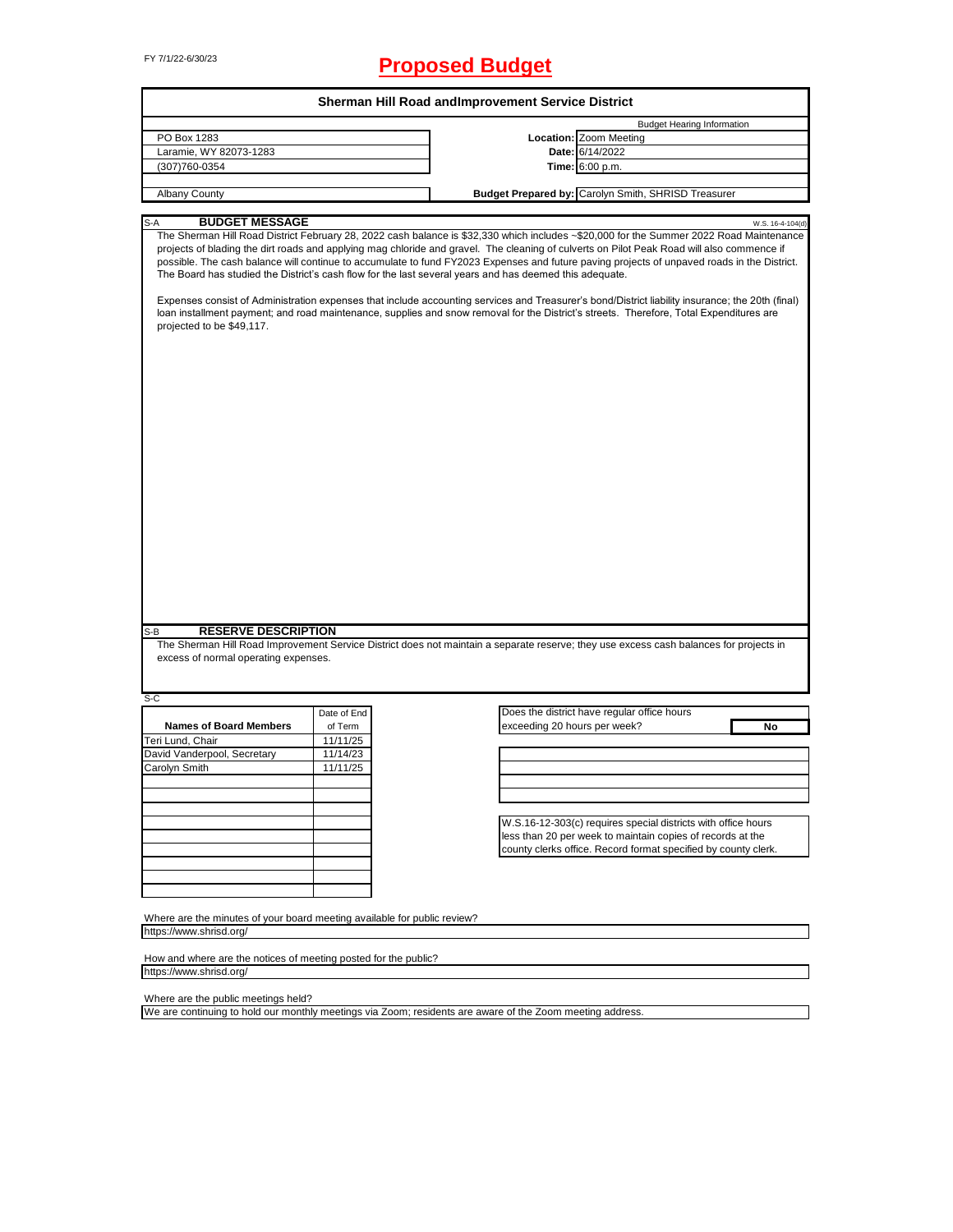# FY 7/1/22-6/30/23 **Proposed Budget**

|                                                                           | Sherman Hill Road andImprovement Service District |                                                                                                                                                                                                                                                                                                                                                                                                                                                                                                                                                                                                                                                                                                                                                                                                                                                                    |  |  |  |  |  |  |
|---------------------------------------------------------------------------|---------------------------------------------------|--------------------------------------------------------------------------------------------------------------------------------------------------------------------------------------------------------------------------------------------------------------------------------------------------------------------------------------------------------------------------------------------------------------------------------------------------------------------------------------------------------------------------------------------------------------------------------------------------------------------------------------------------------------------------------------------------------------------------------------------------------------------------------------------------------------------------------------------------------------------|--|--|--|--|--|--|
|                                                                           |                                                   | <b>Budget Hearing Information</b>                                                                                                                                                                                                                                                                                                                                                                                                                                                                                                                                                                                                                                                                                                                                                                                                                                  |  |  |  |  |  |  |
| PO Box 1283                                                               |                                                   | Location: Zoom Meeting                                                                                                                                                                                                                                                                                                                                                                                                                                                                                                                                                                                                                                                                                                                                                                                                                                             |  |  |  |  |  |  |
| Laramie, WY 82073-1283                                                    |                                                   | Date: 6/14/2022                                                                                                                                                                                                                                                                                                                                                                                                                                                                                                                                                                                                                                                                                                                                                                                                                                                    |  |  |  |  |  |  |
| (307)760-0354                                                             |                                                   | <b>Time:</b> 6:00 p.m.                                                                                                                                                                                                                                                                                                                                                                                                                                                                                                                                                                                                                                                                                                                                                                                                                                             |  |  |  |  |  |  |
|                                                                           |                                                   |                                                                                                                                                                                                                                                                                                                                                                                                                                                                                                                                                                                                                                                                                                                                                                                                                                                                    |  |  |  |  |  |  |
| <b>Albany County</b>                                                      |                                                   | Budget Prepared by: Carolyn Smith, SHRISD Treasurer                                                                                                                                                                                                                                                                                                                                                                                                                                                                                                                                                                                                                                                                                                                                                                                                                |  |  |  |  |  |  |
| <b>BUDGET MESSAGE</b><br>S-A                                              |                                                   |                                                                                                                                                                                                                                                                                                                                                                                                                                                                                                                                                                                                                                                                                                                                                                                                                                                                    |  |  |  |  |  |  |
| projected to be \$49,117.                                                 |                                                   | W.S. 16-4-104(d)<br>The Sherman Hill Road District February 28, 2022 cash balance is \$32,330 which includes ~\$20,000 for the Summer 2022 Road Maintenance<br>projects of blading the dirt roads and applying mag chloride and gravel. The cleaning of culverts on Pilot Peak Road will also commence if<br>possible. The cash balance will continue to accumulate to fund FY2023 Expenses and future paving projects of unpaved roads in the District.<br>The Board has studied the District's cash flow for the last several years and has deemed this adequate.<br>Expenses consist of Administration expenses that include accounting services and Treasurer's bond/District liability insurance; the 20th (final)<br>loan installment payment; and road maintenance, supplies and snow removal for the District's streets. Therefore, Total Expenditures are |  |  |  |  |  |  |
|                                                                           |                                                   |                                                                                                                                                                                                                                                                                                                                                                                                                                                                                                                                                                                                                                                                                                                                                                                                                                                                    |  |  |  |  |  |  |
| <b>RESERVE DESCRIPTION</b><br>S-B<br>excess of normal operating expenses. |                                                   | The Sherman Hill Road Improvement Service District does not maintain a separate reserve; they use excess cash balances for projects in                                                                                                                                                                                                                                                                                                                                                                                                                                                                                                                                                                                                                                                                                                                             |  |  |  |  |  |  |
|                                                                           |                                                   |                                                                                                                                                                                                                                                                                                                                                                                                                                                                                                                                                                                                                                                                                                                                                                                                                                                                    |  |  |  |  |  |  |
|                                                                           |                                                   |                                                                                                                                                                                                                                                                                                                                                                                                                                                                                                                                                                                                                                                                                                                                                                                                                                                                    |  |  |  |  |  |  |
| S-C                                                                       | Date of End                                       | Does the district have regular office hours                                                                                                                                                                                                                                                                                                                                                                                                                                                                                                                                                                                                                                                                                                                                                                                                                        |  |  |  |  |  |  |
| <b>Names of Board Members</b>                                             | of Term                                           | exceeding 20 hours per week?<br>No                                                                                                                                                                                                                                                                                                                                                                                                                                                                                                                                                                                                                                                                                                                                                                                                                                 |  |  |  |  |  |  |
|                                                                           | 11/11/25                                          |                                                                                                                                                                                                                                                                                                                                                                                                                                                                                                                                                                                                                                                                                                                                                                                                                                                                    |  |  |  |  |  |  |
|                                                                           | 11/14/23                                          |                                                                                                                                                                                                                                                                                                                                                                                                                                                                                                                                                                                                                                                                                                                                                                                                                                                                    |  |  |  |  |  |  |
|                                                                           | 11/11/25                                          |                                                                                                                                                                                                                                                                                                                                                                                                                                                                                                                                                                                                                                                                                                                                                                                                                                                                    |  |  |  |  |  |  |
|                                                                           |                                                   |                                                                                                                                                                                                                                                                                                                                                                                                                                                                                                                                                                                                                                                                                                                                                                                                                                                                    |  |  |  |  |  |  |
|                                                                           |                                                   |                                                                                                                                                                                                                                                                                                                                                                                                                                                                                                                                                                                                                                                                                                                                                                                                                                                                    |  |  |  |  |  |  |
|                                                                           |                                                   |                                                                                                                                                                                                                                                                                                                                                                                                                                                                                                                                                                                                                                                                                                                                                                                                                                                                    |  |  |  |  |  |  |
|                                                                           |                                                   | W.S.16-12-303(c) requires special districts with office hours                                                                                                                                                                                                                                                                                                                                                                                                                                                                                                                                                                                                                                                                                                                                                                                                      |  |  |  |  |  |  |
|                                                                           |                                                   | less than 20 per week to maintain copies of records at the                                                                                                                                                                                                                                                                                                                                                                                                                                                                                                                                                                                                                                                                                                                                                                                                         |  |  |  |  |  |  |
|                                                                           |                                                   | county clerks office. Record format specified by county clerk.                                                                                                                                                                                                                                                                                                                                                                                                                                                                                                                                                                                                                                                                                                                                                                                                     |  |  |  |  |  |  |
| Teri Lund, Chair<br>David Vanderpool, Secretary<br>Carolyn Smith          |                                                   |                                                                                                                                                                                                                                                                                                                                                                                                                                                                                                                                                                                                                                                                                                                                                                                                                                                                    |  |  |  |  |  |  |
|                                                                           |                                                   |                                                                                                                                                                                                                                                                                                                                                                                                                                                                                                                                                                                                                                                                                                                                                                                                                                                                    |  |  |  |  |  |  |
|                                                                           |                                                   |                                                                                                                                                                                                                                                                                                                                                                                                                                                                                                                                                                                                                                                                                                                                                                                                                                                                    |  |  |  |  |  |  |
|                                                                           |                                                   |                                                                                                                                                                                                                                                                                                                                                                                                                                                                                                                                                                                                                                                                                                                                                                                                                                                                    |  |  |  |  |  |  |
| Where are the minutes of your board meeting available for public review?  |                                                   |                                                                                                                                                                                                                                                                                                                                                                                                                                                                                                                                                                                                                                                                                                                                                                                                                                                                    |  |  |  |  |  |  |
| https://www.shrisd.org/                                                   |                                                   |                                                                                                                                                                                                                                                                                                                                                                                                                                                                                                                                                                                                                                                                                                                                                                                                                                                                    |  |  |  |  |  |  |
| How and where are the notices of meeting posted for the public?           |                                                   |                                                                                                                                                                                                                                                                                                                                                                                                                                                                                                                                                                                                                                                                                                                                                                                                                                                                    |  |  |  |  |  |  |

Where are the public meetings held?

We are continuing to hold our monthly meetings via Zoom; residents are aware of the Zoom meeting address.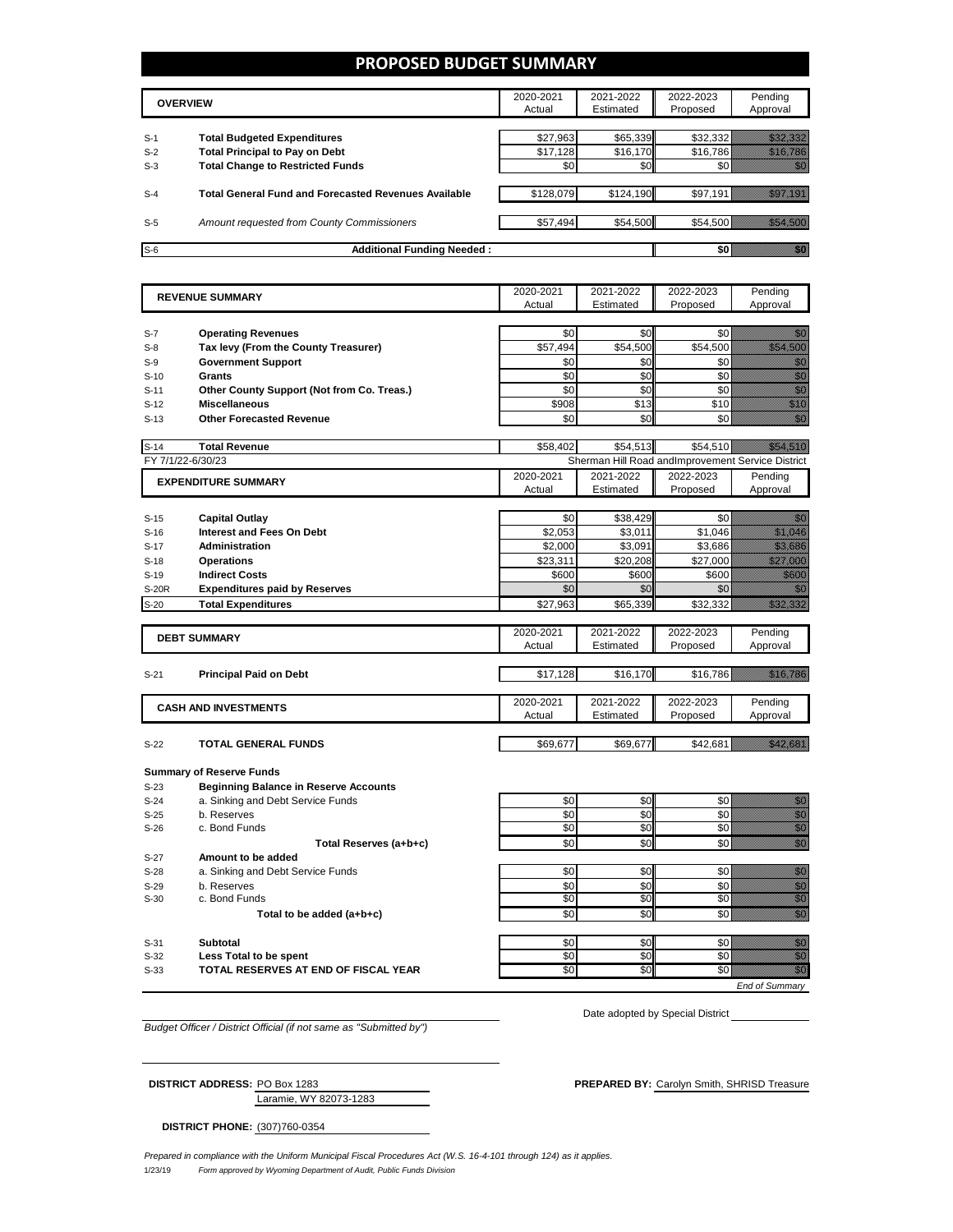### **PROPOSED BUDGET SUMMARY**

|       | <b>OVERVIEW</b>                                             | 2020-2021<br>Actual | 2021-2022<br>Estimated | 2022-2023<br>Proposed | Pending<br>Approval |
|-------|-------------------------------------------------------------|---------------------|------------------------|-----------------------|---------------------|
| $S-1$ | <b>Total Budgeted Expenditures</b>                          | \$27.963            | \$65,339               | \$32,332              |                     |
| $S-2$ | <b>Total Principal to Pay on Debt</b>                       | \$17,128            | \$16,170               | \$16,786              |                     |
| $S-3$ | <b>Total Change to Restricted Funds</b>                     | \$0                 | \$0                    |                       |                     |
|       |                                                             |                     |                        |                       |                     |
| $S-4$ | <b>Total General Fund and Forecasted Revenues Available</b> | \$128,079           | \$124,190              | \$97,191              |                     |
|       |                                                             |                     |                        |                       |                     |
| $S-5$ | Amount requested from County Commissioners                  | \$57,494            | \$54,500               | \$54,500              |                     |
| $S-6$ | <b>Additional Funding Needed:</b>                           |                     |                        |                       |                     |

| <b>REVENUE SUMMARY</b> |                                              | 2020-2021 | 2021-2022 | 2022-2023                                         | Pending                                                                                                                                                                                                                          |
|------------------------|----------------------------------------------|-----------|-----------|---------------------------------------------------|----------------------------------------------------------------------------------------------------------------------------------------------------------------------------------------------------------------------------------|
|                        |                                              | Actual    | Estimated | Proposed                                          | Approval                                                                                                                                                                                                                         |
|                        |                                              |           |           |                                                   |                                                                                                                                                                                                                                  |
| $S-7$                  | <b>Operating Revenues</b>                    | \$0       | \$0       | \$0                                               | en 1999.<br>Soomaali                                                                                                                                                                                                             |
| $S-8$                  | Tax levy (From the County Treasurer)         | \$57,494  | \$54,500  | \$54,500                                          | a a a an an t-ainm                                                                                                                                                                                                               |
| $S-9$                  | <b>Government Support</b>                    | \$0       | \$0       | \$0                                               | enne<br>Gallia                                                                                                                                                                                                                   |
| $S-10$                 | Grants                                       | \$0       | \$0       | \$0                                               | en<br>Stadt                                                                                                                                                                                                                      |
| $S-11$                 | Other County Support (Not from Co. Treas.)   | \$0       | \$0       | \$0                                               | en de la familie de la familie de la familie de la familie de la familie de la familie de la familie de la fam<br>Constitution de la familie de la familie de la familie de la familie de la familie de la familie de la familie |
| $S-12$                 | <b>Miscellaneous</b>                         | \$908     | \$13      | \$10                                              | en de format de la format de la format de la format de la format de la format de la format de la format de la<br>Especía                                                                                                         |
| $S-13$                 | <b>Other Forecasted Revenue</b>              | \$0       | \$0       | \$0                                               | en de la familie de la familie de la familie de la familie de la familie de la familie de la familie de la fa<br>Constitution de la familie de la familie de la familie de la familie de la familie de la familie de la familie  |
|                        |                                              |           |           |                                                   |                                                                                                                                                                                                                                  |
| $S-14$                 | <b>Total Revenue</b>                         | \$58,402  | \$54,513  | \$54,510                                          | <u> Hillian S</u>                                                                                                                                                                                                                |
| FY 7/1/22-6/30/23      |                                              |           |           | Sherman Hill Road andImprovement Service District |                                                                                                                                                                                                                                  |
|                        |                                              | 2020-2021 | 2021-2022 | 2022-2023                                         | Pending                                                                                                                                                                                                                          |
|                        | <b>EXPENDITURE SUMMARY</b>                   | Actual    | Estimated | Proposed                                          | Approval                                                                                                                                                                                                                         |
|                        |                                              |           |           |                                                   |                                                                                                                                                                                                                                  |
| $S-15$                 | <b>Capital Outlay</b>                        | \$0       | \$38,429  | \$0                                               | elli S                                                                                                                                                                                                                           |
| $S-16$                 | <b>Interest and Fees On Debt</b>             | \$2,053   | \$3,011   | \$1,046                                           | <u>Miller Sta</u>                                                                                                                                                                                                                |
| $S-17$                 | <b>Administration</b>                        | \$2,000   | \$3,091   | \$3,686                                           | <u> Hillian Sta</u>                                                                                                                                                                                                              |
| $S-18$                 | <b>Operations</b>                            | \$23,311  | \$20,208  | \$27,000                                          | <u>Million S</u>                                                                                                                                                                                                                 |
| $S-19$                 | <b>Indirect Costs</b>                        | \$600     | \$600     | \$600                                             | <u>tillisti</u>                                                                                                                                                                                                                  |
| <b>S-20R</b>           | <b>Expenditures paid by Reserves</b>         | \$0       | \$0       | \$0                                               | 7                                                                                                                                                                                                                                |
| $S-20$                 | <b>Total Expenditures</b>                    | \$27,963  | \$65,339  | \$32,332                                          |                                                                                                                                                                                                                                  |
|                        |                                              |           |           |                                                   |                                                                                                                                                                                                                                  |
|                        |                                              | 2020-2021 | 2021-2022 | 2022-2023                                         | Pending                                                                                                                                                                                                                          |
|                        | <b>DEBT SUMMARY</b>                          | Actual    | Estimated | Proposed                                          | Approval                                                                                                                                                                                                                         |
|                        |                                              |           |           |                                                   |                                                                                                                                                                                                                                  |
| $S-21$                 | <b>Principal Paid on Debt</b>                | \$17,128  | \$16,170  | \$16,786                                          | <u> Hallandin</u>                                                                                                                                                                                                                |
|                        |                                              |           |           |                                                   |                                                                                                                                                                                                                                  |
|                        | <b>CASH AND INVESTMENTS</b>                  | 2020-2021 | 2021-2022 | 2022-2023                                         | Pending                                                                                                                                                                                                                          |
|                        |                                              | Actual    | Estimated | Proposed                                          | Approval                                                                                                                                                                                                                         |
|                        |                                              |           |           |                                                   |                                                                                                                                                                                                                                  |
| $S-22$                 | TOTAL GENERAL FUNDS                          | \$69,677  | \$69,677  | \$42,681                                          | <u>rikultzion </u>                                                                                                                                                                                                               |
|                        |                                              |           |           |                                                   |                                                                                                                                                                                                                                  |
|                        | <b>Summary of Reserve Funds</b>              |           |           |                                                   |                                                                                                                                                                                                                                  |
| $S-23$                 | <b>Beginning Balance in Reserve Accounts</b> |           |           |                                                   |                                                                                                                                                                                                                                  |
| $S-24$                 | a. Sinking and Debt Service Funds            | \$0       | \$0       | \$0                                               | e de la filosofia<br>Altre de la filòlogia                                                                                                                                                                                       |
| $S-25$                 | b. Reserves                                  | \$0       | \$0       | \$0                                               |                                                                                                                                                                                                                                  |
| $S-26$                 | c. Bond Funds                                | \$0       | \$0       | \$0                                               | e de la composición de la composición de la composición de la composición de la composición de la composición<br>Campo de la composición de la composición de la composición de la composición de la composición de la composic  |
|                        | Total Reserves (a+b+c)                       | \$0       | \$0       | \$0                                               | en de la falsa<br>Maria de Salvador (1919)<br>Maria de Salvador (1919)                                                                                                                                                           |
| $S-27$                 | Amount to be added                           |           |           |                                                   |                                                                                                                                                                                                                                  |
| $S-28$                 | a. Sinking and Debt Service Funds            | \$0       | \$0       | \$0                                               | enne<br>Mille                                                                                                                                                                                                                    |
| $S-29$                 | b. Reserves                                  | \$0       | \$0       | \$0                                               | en de la familie de la familie de la familie de la familie de la familie de la familie de la familie de la fa<br>Estatubació de la familie de la familie de la familie de la familie de la familie de la familie de la familie   |
| $S-30$                 | c. Bond Funds                                | \$0       | \$0       | \$0                                               | en de la familie de la familie de la familie de la familie de la familie de la familie de la familie de la fam<br>Constituit de la familie de la familie de la familie de la familie de la familie de la familie de la familie d |
|                        | Total to be added (a+b+c)                    | \$0       | \$0       | \$0                                               | en<br>Maria                                                                                                                                                                                                                      |
|                        |                                              |           |           |                                                   |                                                                                                                                                                                                                                  |
| $S-31$                 | Subtotal                                     | \$0       | \$0       | \$0                                               | en 1999.<br>Volks                                                                                                                                                                                                                |
| $S-32$                 | Less Total to be spent                       | \$0       | \$0       | \$0                                               | en de la filòla<br>Contable                                                                                                                                                                                                      |
| $S-33$                 | TOTAL RESERVES AT END OF FISCAL YEAR         | \$0       | \$0       | \$0                                               | en en de la familie de la familie de la familie de la familie de la familie de la familie de la familie de la<br>Constantinople                                                                                                  |
|                        |                                              |           |           |                                                   | <b>End of Summarv</b>                                                                                                                                                                                                            |
|                        |                                              |           |           |                                                   |                                                                                                                                                                                                                                  |

*Budget Officer / District Official (if not same as "Submitted by")*

Date adopted by Special District \_\_\_\_\_

| <b>DISTRICT ADDRESS: PO Box 1283</b> | <b>PREPARED BY: Carolyn Smith, SHRISD Treasure</b> |
|--------------------------------------|----------------------------------------------------|
| Laramie, WY 82073-1283               |                                                    |

**DISTRICT PHONE:** (307)760-0354

1/23/19 *Form approved by Wyoming Department of Audit, Public Funds Division Prepared in compliance with the Uniform Municipal Fiscal Procedures Act (W.S. 16-4-101 through 124) as it applies.*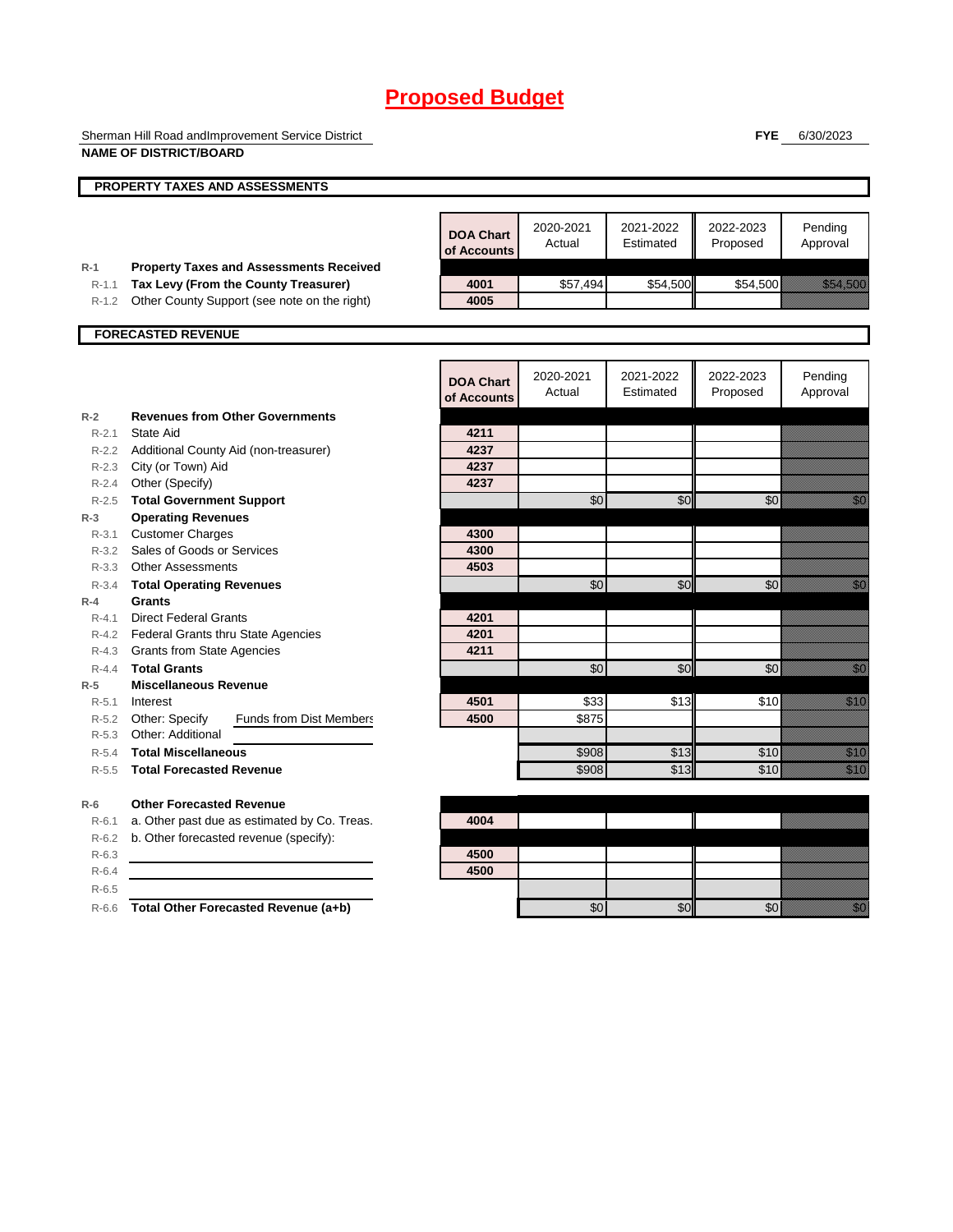Sherman Hill Road andImprovement Service District **NAME OF DISTRICT/BOARD**

**FYE** 6/30/2023

|                  | <b>PROPERTY TAXES AND ASSESSMENTS</b>                                                  |                                 |                     |                        |                       |                                                                                                                                                                                                                                  |
|------------------|----------------------------------------------------------------------------------------|---------------------------------|---------------------|------------------------|-----------------------|----------------------------------------------------------------------------------------------------------------------------------------------------------------------------------------------------------------------------------|
|                  |                                                                                        |                                 |                     |                        |                       |                                                                                                                                                                                                                                  |
|                  |                                                                                        | <b>DOA Chart</b><br>of Accounts | 2020-2021<br>Actual | 2021-2022<br>Estimated | 2022-2023<br>Proposed | Pending<br>Approval                                                                                                                                                                                                              |
| $R-1$<br>$R-1.1$ | <b>Property Taxes and Assessments Received</b><br>Tax Levy (From the County Treasurer) | 4001                            | \$57,494            | \$54,500               | \$54,500              | <u>tik kuningan di kacamatan di sebagai di kacamatan di kacamatan di kacamatan di kacamatan di kacamatan di kaca</u>                                                                                                             |
| $R-1.2$          | Other County Support (see note on the right)                                           | 4005                            |                     |                        |                       |                                                                                                                                                                                                                                  |
|                  |                                                                                        |                                 |                     |                        |                       |                                                                                                                                                                                                                                  |
|                  | <b>FORECASTED REVENUE</b>                                                              |                                 |                     |                        |                       |                                                                                                                                                                                                                                  |
|                  |                                                                                        | <b>DOA Chart</b><br>of Accounts | 2020-2021<br>Actual | 2021-2022<br>Estimated | 2022-2023<br>Proposed | Pending<br>Approval                                                                                                                                                                                                              |
| $R-2$            | <b>Revenues from Other Governments</b>                                                 |                                 |                     |                        |                       |                                                                                                                                                                                                                                  |
| $R - 2.1$        | State Aid                                                                              | 4211                            |                     |                        |                       |                                                                                                                                                                                                                                  |
|                  | R-2.2 Additional County Aid (non-treasurer)                                            | 4237                            |                     |                        |                       |                                                                                                                                                                                                                                  |
|                  | R-2.3 City (or Town) Aid                                                               | 4237                            |                     |                        |                       |                                                                                                                                                                                                                                  |
| $R - 2.4$        | Other (Specify)                                                                        | 4237                            |                     |                        |                       |                                                                                                                                                                                                                                  |
| $R - 2.5$        | <b>Total Government Support</b>                                                        |                                 | \$0                 | \$0                    | \$0                   | en 1999.<br>Nord-Stadt Stadt Stadt Stadt Stadt Stadt Stadt Stadt Stadt Stadt Stadt Stadt Stadt Stadt Stadt Stadt Stadt Sta                                                                                                       |
| $R-3$            | <b>Operating Revenues</b>                                                              |                                 |                     |                        |                       |                                                                                                                                                                                                                                  |
| $R - 3.1$        | <b>Customer Charges</b>                                                                | 4300                            |                     |                        |                       |                                                                                                                                                                                                                                  |
|                  | R-3.2 Sales of Goods or Services                                                       | 4300                            |                     |                        |                       |                                                                                                                                                                                                                                  |
|                  | R-3.3 Other Assessments                                                                | 4503                            |                     |                        |                       |                                                                                                                                                                                                                                  |
| $R - 3.4$        | <b>Total Operating Revenues</b>                                                        |                                 | \$0                 | \$0                    | \$0                   | e di Caraccione di San Barbara, Caraccione di San Barbara, San Barbara, San Barbara, San Barbara, San Barbara,<br>Nati                                                                                                           |
| $R-4$            | Grants                                                                                 |                                 |                     |                        |                       |                                                                                                                                                                                                                                  |
| $R - 4.1$        | <b>Direct Federal Grants</b>                                                           | 4201                            |                     |                        |                       |                                                                                                                                                                                                                                  |
|                  | R-4.2 Federal Grants thru State Agencies                                               | 4201                            |                     |                        |                       |                                                                                                                                                                                                                                  |
|                  | R-4.3 Grants from State Agencies                                                       | 4211                            |                     |                        |                       |                                                                                                                                                                                                                                  |
| $R - 4.4$        | <b>Total Grants</b>                                                                    |                                 | \$0                 | \$0                    | \$0                   | en de la falsa de la falsa de la falsa de la falsa de la falsa de la falsa de la falsa de la falsa de la falsa<br>Constituit de la falsa de la falsa de la falsa de la falsa de la falsa de la falsa de la falsa de la falsa de  |
| $R-5$            | Miscellaneous Revenue                                                                  |                                 |                     |                        |                       |                                                                                                                                                                                                                                  |
| $R - 5.1$        | Interest                                                                               | 4501                            | \$33                | \$13                   | \$10                  | <u>Mille</u>                                                                                                                                                                                                                     |
|                  | R-5.2 Other: Specify<br><b>Funds from Dist Members</b>                                 | 4500                            | \$875               |                        |                       |                                                                                                                                                                                                                                  |
|                  | R-5.3 Other: Additional                                                                |                                 |                     |                        |                       |                                                                                                                                                                                                                                  |
| $R - 5.4$        | <b>Total Miscellaneous</b>                                                             |                                 | \$908               | \$13                   | \$10                  | en de la familie de la familie de la familie de la familie de la familie de la familie de la familie de la fa<br>Espainia                                                                                                        |
| $R - 5.5$        | <b>Total Forecasted Revenue</b>                                                        |                                 | \$908               | \$13                   | \$10                  | <u>filman</u>                                                                                                                                                                                                                    |
| $R-6$            | <b>Other Forecasted Revenue</b>                                                        |                                 |                     |                        |                       |                                                                                                                                                                                                                                  |
| $R - 6.1$        | a. Other past due as estimated by Co. Treas.                                           | 4004                            |                     |                        |                       |                                                                                                                                                                                                                                  |
| $R-6.2$          | b. Other forecasted revenue (specify):                                                 |                                 |                     |                        |                       |                                                                                                                                                                                                                                  |
| $R-6.3$          |                                                                                        | 4500                            |                     |                        |                       |                                                                                                                                                                                                                                  |
| $R-6.4$          |                                                                                        | 4500                            |                     |                        |                       |                                                                                                                                                                                                                                  |
| $R - 6.5$        |                                                                                        |                                 |                     |                        |                       |                                                                                                                                                                                                                                  |
| $R-6.6$          | Total Other Forecasted Revenue (a+b)                                                   |                                 | \$0                 | \$0                    | \$0                   | en de la familie de la familie de la familie de la familie de la familie de la familie de la familie de la fam<br>Constituit de la familie de la familie de la familie de la familie de la familie de la familie de la familie d |
|                  |                                                                                        |                                 |                     |                        |                       |                                                                                                                                                                                                                                  |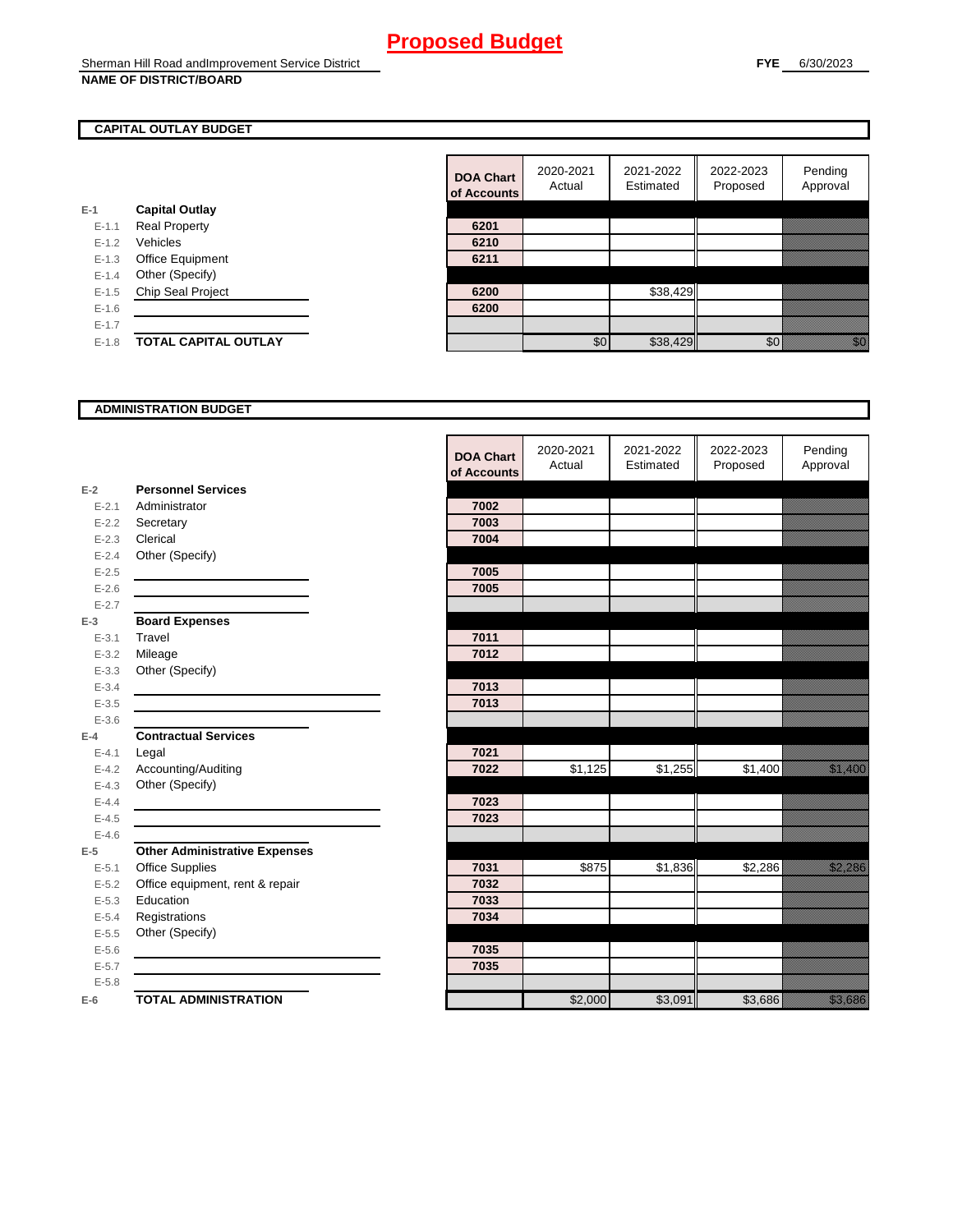### **CAPITAL OUTLAY BUDGET**

| $E-1$     | <b>Capital Outlay</b>    |      |
|-----------|--------------------------|------|
| $E - 1.1$ | <b>Real Property</b>     | 6201 |
| $E - 1.2$ | Vehicles                 | 6210 |
| $E-1.3$   | <b>Office Equipment</b>  | 6211 |
| $E - 1.4$ | Other (Specify)          |      |
| $E - 1.5$ | <b>Chip Seal Project</b> | 6200 |
| $E - 1.6$ |                          | 6200 |
| $E-1.7$   |                          |      |
| $E-1.8$   | TOTAL CAPITAL OUTLAY     |      |

|           |                             | <b>DOA Chart</b><br>of Accounts | 2020-2021<br>Actual | 2021-2022<br>Estimated | 2022-2023<br>Proposed | Pending<br>Approval                                                                                                                                                                                                              |
|-----------|-----------------------------|---------------------------------|---------------------|------------------------|-----------------------|----------------------------------------------------------------------------------------------------------------------------------------------------------------------------------------------------------------------------------|
|           | <b>Capital Outlay</b>       |                                 |                     |                        |                       |                                                                                                                                                                                                                                  |
| $E - 1.1$ | <b>Real Property</b>        | 6201                            |                     |                        |                       |                                                                                                                                                                                                                                  |
| $E - 1.2$ | Vehicles                    | 6210                            |                     |                        |                       |                                                                                                                                                                                                                                  |
| $E-1.3$   | Office Equipment            | 6211                            |                     |                        |                       |                                                                                                                                                                                                                                  |
| $E - 1.4$ | Other (Specify)             |                                 |                     |                        |                       |                                                                                                                                                                                                                                  |
| $E-1.5$   | Chip Seal Project           | 6200                            |                     | \$38,429               |                       |                                                                                                                                                                                                                                  |
| $E-1.6$   |                             | 6200                            |                     |                        |                       |                                                                                                                                                                                                                                  |
| $E - 1.7$ |                             |                                 |                     |                        |                       |                                                                                                                                                                                                                                  |
| $E-1.8$   | <b>TOTAL CAPITAL OUTLAY</b> |                                 | \$0                 | \$38,429               | \$0                   | en de la familie de la familie de la familie de la familie de la familie de la familie de la familie de la fam<br>Constituit de la familie de la familie de la familie de la familie de la familie de la familie de la familie d |

#### **ADMINISTRATION BUDGET**

|           |                                      | <b>DOA Chart</b><br>of Accounts | 2020-2021<br>Actual | 2021-2022<br>Estimated | 2022-2023<br>Proposed | Pending<br>Approval    |
|-----------|--------------------------------------|---------------------------------|---------------------|------------------------|-----------------------|------------------------|
| $E-2$     | <b>Personnel Services</b>            |                                 |                     |                        |                       |                        |
| $E - 2.1$ | Administrator                        | 7002                            |                     |                        |                       |                        |
| $E - 2.2$ | Secretary                            | 7003                            |                     |                        |                       |                        |
| $E - 2.3$ | Clerical                             | 7004                            |                     |                        |                       |                        |
| $E - 2.4$ | Other (Specify)                      |                                 |                     |                        |                       |                        |
| $E-2.5$   |                                      | 7005                            |                     |                        |                       |                        |
| $E - 2.6$ |                                      | 7005                            |                     |                        |                       |                        |
| $E - 2.7$ |                                      |                                 |                     |                        |                       |                        |
| $E-3$     | <b>Board Expenses</b>                |                                 |                     |                        |                       |                        |
| $E - 3.1$ | Travel                               | 7011                            |                     |                        |                       |                        |
| $E - 3.2$ | Mileage                              | 7012                            |                     |                        |                       |                        |
| $E - 3.3$ | Other (Specify)                      |                                 |                     |                        |                       |                        |
| $E - 3.4$ |                                      | 7013                            |                     |                        |                       |                        |
| $E - 3.5$ |                                      | 7013                            |                     |                        |                       |                        |
| $E - 3.6$ |                                      |                                 |                     |                        |                       |                        |
| $E-4$     | <b>Contractual Services</b>          |                                 |                     |                        |                       |                        |
| $E - 4.1$ | Legal                                | 7021                            |                     |                        |                       |                        |
| $E - 4.2$ | Accounting/Auditing                  | 7022                            | \$1,125             | \$1,255                | \$1,400               | <u>ti kalendari se</u> |
| $E - 4.3$ | Other (Specify)                      |                                 |                     |                        |                       |                        |
| $E - 4.4$ |                                      | 7023                            |                     |                        |                       |                        |
| $E-4.5$   |                                      | 7023                            |                     |                        |                       |                        |
| $E-4.6$   |                                      |                                 |                     |                        |                       |                        |
| $E-5$     | <b>Other Administrative Expenses</b> |                                 |                     |                        |                       |                        |
| $E - 5.1$ | <b>Office Supplies</b>               | 7031                            | \$875               | \$1,836                | \$2,286               | <u>tionalisest</u>     |
| $E - 5.2$ | Office equipment, rent & repair      | 7032                            |                     |                        |                       |                        |
| $E - 5.3$ | Education                            | 7033                            |                     |                        |                       |                        |
| $E - 5.4$ | Registrations                        | 7034                            |                     |                        |                       |                        |
| $E-5.5$   | Other (Specify)                      |                                 |                     |                        |                       |                        |
| $E-5.6$   |                                      | 7035                            |                     |                        |                       |                        |
| $E - 5.7$ |                                      | 7035                            |                     |                        |                       |                        |
| $E - 5.8$ |                                      |                                 |                     |                        |                       |                        |
| $E-6$     | <b>TOTAL ADMINISTRATION</b>          |                                 | \$2,000             | \$3,091                | \$3,686               | <u>ting and</u>        |

 $\mathbf{r}$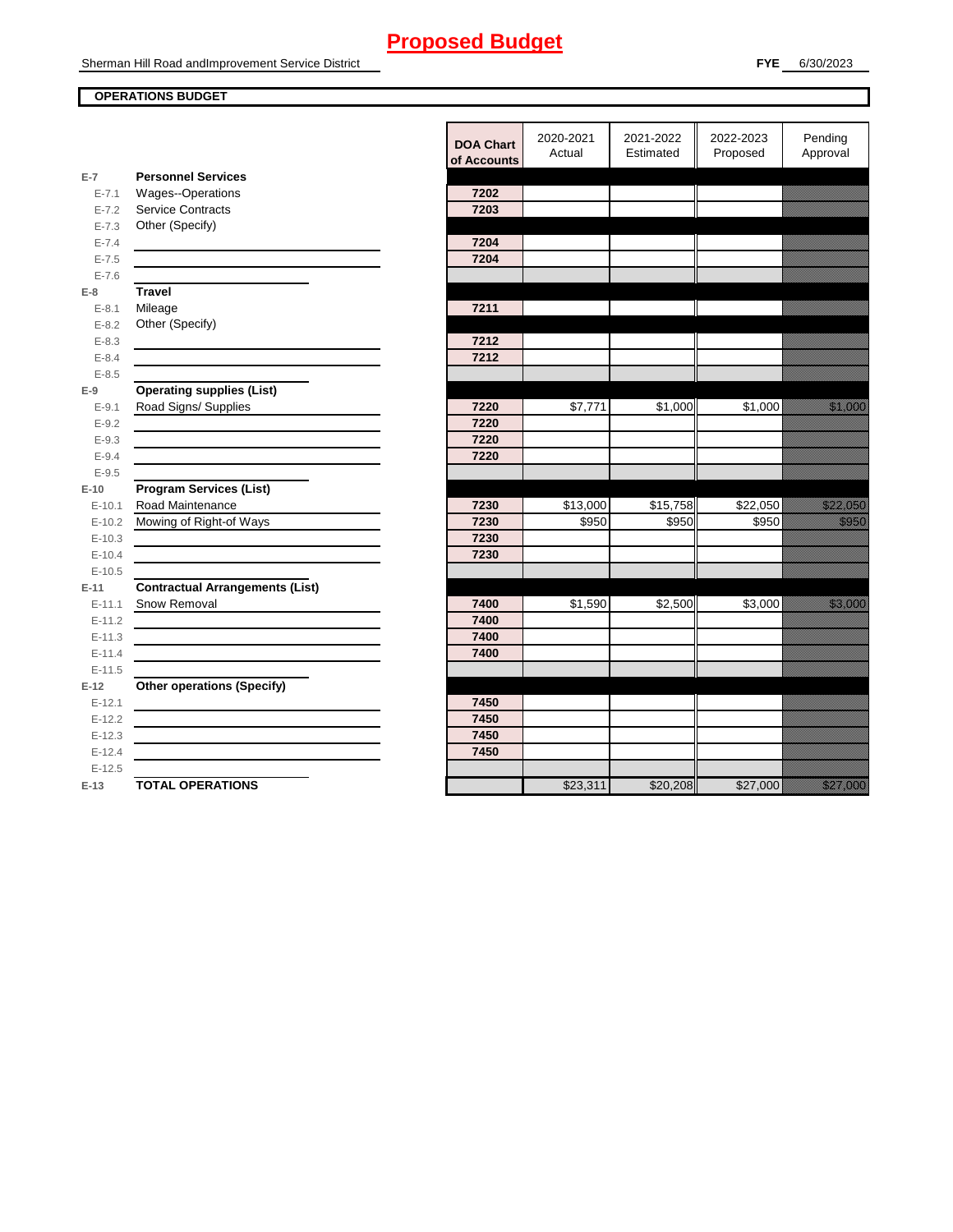Sherman Hill Road andImprovement Service District

### **OPERATIONS BUDGET**

| 2022-2023<br>Pending<br>2020-2021<br>2021-2022<br><b>DOA Chart</b><br>Approval<br>Actual<br>Estimated<br>Proposed<br>of Accounts<br>$E-7$<br><b>Personnel Services</b><br>$E - 7.1$<br><b>Wages--Operations</b><br>7202<br><b>Service Contracts</b><br>7203<br>$E - 7.2$<br>Other (Specify)<br>$E - 7.3$<br>7204<br>$E - 7.4$<br>$E - 7.5$<br>7204<br>$E - 7.6$<br><b>Travel</b><br>$E-8$<br>7211<br>Mileage<br>$E - 8.1$<br>Other (Specify)<br>$E - 8.2$<br>$E - 8.3$<br>7212<br>$E - 8.4$<br>7212<br>$E - 8.5$<br><b>Operating supplies (List)</b><br>$E-9$<br>\$7,771<br>\$1,000<br>\$1.000<br>$E - 9.1$<br>Road Signs/ Supplies<br>7220<br><u> Hillian Sa</u><br>$E - 9.2$<br>7220<br>7220<br>$E - 9.3$<br>7220<br>$E - 9.4$<br>$E - 9.5$<br><b>Program Services (List)</b><br>$E-10$<br>Road Maintenance<br>\$13,000<br>\$15,758<br>\$22,050<br><u> Kalendari Se</u><br>7230<br>$E - 10.1$<br>Mowing of Right-of Ways<br>7230<br>\$950<br>\$950<br>\$950<br><u>ti ka</u><br>$E-10.2$<br>7230<br>$E-10.3$<br>$E - 10.4$<br>7230<br>$E-10.5$<br><b>Contractual Arrangements (List)</b><br>$E-11$<br>Snow Removal<br>\$1.590<br>a katika katika katika katika alifuwa alifuwa alifuwa alifuwa alifuwa alifuwa alifuwa alifuwa alifuwa alifuwa<br>Marejeo<br>7400<br>\$2.500<br>\$3,000<br>$E-11.1$<br>7400<br>$E - 11.2$<br>7400<br>$E - 11.3$<br>7400<br>$E-11.4$<br>$E-11.5$<br><b>Other operations (Specify)</b><br>$E-12$<br>$E-12.1$<br>7450<br>7450<br>$E-12.2$<br>7450<br>$E-12.3$<br>7450<br>$E-12.4$<br>$E-12.5$<br><b>TOTAL OPERATIONS</b><br>\$23,311<br>\$20,208<br>\$27,000<br><u> Elitheration</u><br>$E-13$ |  |  |  |  |
|------------------------------------------------------------------------------------------------------------------------------------------------------------------------------------------------------------------------------------------------------------------------------------------------------------------------------------------------------------------------------------------------------------------------------------------------------------------------------------------------------------------------------------------------------------------------------------------------------------------------------------------------------------------------------------------------------------------------------------------------------------------------------------------------------------------------------------------------------------------------------------------------------------------------------------------------------------------------------------------------------------------------------------------------------------------------------------------------------------------------------------------------------------------------------------------------------------------------------------------------------------------------------------------------------------------------------------------------------------------------------------------------------------------------------------------------------------------------------------------------------------------------------------------------------------------------------------------------------------------------------|--|--|--|--|
|                                                                                                                                                                                                                                                                                                                                                                                                                                                                                                                                                                                                                                                                                                                                                                                                                                                                                                                                                                                                                                                                                                                                                                                                                                                                                                                                                                                                                                                                                                                                                                                                                              |  |  |  |  |
|                                                                                                                                                                                                                                                                                                                                                                                                                                                                                                                                                                                                                                                                                                                                                                                                                                                                                                                                                                                                                                                                                                                                                                                                                                                                                                                                                                                                                                                                                                                                                                                                                              |  |  |  |  |
|                                                                                                                                                                                                                                                                                                                                                                                                                                                                                                                                                                                                                                                                                                                                                                                                                                                                                                                                                                                                                                                                                                                                                                                                                                                                                                                                                                                                                                                                                                                                                                                                                              |  |  |  |  |
|                                                                                                                                                                                                                                                                                                                                                                                                                                                                                                                                                                                                                                                                                                                                                                                                                                                                                                                                                                                                                                                                                                                                                                                                                                                                                                                                                                                                                                                                                                                                                                                                                              |  |  |  |  |
|                                                                                                                                                                                                                                                                                                                                                                                                                                                                                                                                                                                                                                                                                                                                                                                                                                                                                                                                                                                                                                                                                                                                                                                                                                                                                                                                                                                                                                                                                                                                                                                                                              |  |  |  |  |
|                                                                                                                                                                                                                                                                                                                                                                                                                                                                                                                                                                                                                                                                                                                                                                                                                                                                                                                                                                                                                                                                                                                                                                                                                                                                                                                                                                                                                                                                                                                                                                                                                              |  |  |  |  |
|                                                                                                                                                                                                                                                                                                                                                                                                                                                                                                                                                                                                                                                                                                                                                                                                                                                                                                                                                                                                                                                                                                                                                                                                                                                                                                                                                                                                                                                                                                                                                                                                                              |  |  |  |  |
|                                                                                                                                                                                                                                                                                                                                                                                                                                                                                                                                                                                                                                                                                                                                                                                                                                                                                                                                                                                                                                                                                                                                                                                                                                                                                                                                                                                                                                                                                                                                                                                                                              |  |  |  |  |
|                                                                                                                                                                                                                                                                                                                                                                                                                                                                                                                                                                                                                                                                                                                                                                                                                                                                                                                                                                                                                                                                                                                                                                                                                                                                                                                                                                                                                                                                                                                                                                                                                              |  |  |  |  |
|                                                                                                                                                                                                                                                                                                                                                                                                                                                                                                                                                                                                                                                                                                                                                                                                                                                                                                                                                                                                                                                                                                                                                                                                                                                                                                                                                                                                                                                                                                                                                                                                                              |  |  |  |  |
|                                                                                                                                                                                                                                                                                                                                                                                                                                                                                                                                                                                                                                                                                                                                                                                                                                                                                                                                                                                                                                                                                                                                                                                                                                                                                                                                                                                                                                                                                                                                                                                                                              |  |  |  |  |
|                                                                                                                                                                                                                                                                                                                                                                                                                                                                                                                                                                                                                                                                                                                                                                                                                                                                                                                                                                                                                                                                                                                                                                                                                                                                                                                                                                                                                                                                                                                                                                                                                              |  |  |  |  |
|                                                                                                                                                                                                                                                                                                                                                                                                                                                                                                                                                                                                                                                                                                                                                                                                                                                                                                                                                                                                                                                                                                                                                                                                                                                                                                                                                                                                                                                                                                                                                                                                                              |  |  |  |  |
|                                                                                                                                                                                                                                                                                                                                                                                                                                                                                                                                                                                                                                                                                                                                                                                                                                                                                                                                                                                                                                                                                                                                                                                                                                                                                                                                                                                                                                                                                                                                                                                                                              |  |  |  |  |
|                                                                                                                                                                                                                                                                                                                                                                                                                                                                                                                                                                                                                                                                                                                                                                                                                                                                                                                                                                                                                                                                                                                                                                                                                                                                                                                                                                                                                                                                                                                                                                                                                              |  |  |  |  |
|                                                                                                                                                                                                                                                                                                                                                                                                                                                                                                                                                                                                                                                                                                                                                                                                                                                                                                                                                                                                                                                                                                                                                                                                                                                                                                                                                                                                                                                                                                                                                                                                                              |  |  |  |  |
|                                                                                                                                                                                                                                                                                                                                                                                                                                                                                                                                                                                                                                                                                                                                                                                                                                                                                                                                                                                                                                                                                                                                                                                                                                                                                                                                                                                                                                                                                                                                                                                                                              |  |  |  |  |
|                                                                                                                                                                                                                                                                                                                                                                                                                                                                                                                                                                                                                                                                                                                                                                                                                                                                                                                                                                                                                                                                                                                                                                                                                                                                                                                                                                                                                                                                                                                                                                                                                              |  |  |  |  |
|                                                                                                                                                                                                                                                                                                                                                                                                                                                                                                                                                                                                                                                                                                                                                                                                                                                                                                                                                                                                                                                                                                                                                                                                                                                                                                                                                                                                                                                                                                                                                                                                                              |  |  |  |  |
|                                                                                                                                                                                                                                                                                                                                                                                                                                                                                                                                                                                                                                                                                                                                                                                                                                                                                                                                                                                                                                                                                                                                                                                                                                                                                                                                                                                                                                                                                                                                                                                                                              |  |  |  |  |
|                                                                                                                                                                                                                                                                                                                                                                                                                                                                                                                                                                                                                                                                                                                                                                                                                                                                                                                                                                                                                                                                                                                                                                                                                                                                                                                                                                                                                                                                                                                                                                                                                              |  |  |  |  |
|                                                                                                                                                                                                                                                                                                                                                                                                                                                                                                                                                                                                                                                                                                                                                                                                                                                                                                                                                                                                                                                                                                                                                                                                                                                                                                                                                                                                                                                                                                                                                                                                                              |  |  |  |  |
|                                                                                                                                                                                                                                                                                                                                                                                                                                                                                                                                                                                                                                                                                                                                                                                                                                                                                                                                                                                                                                                                                                                                                                                                                                                                                                                                                                                                                                                                                                                                                                                                                              |  |  |  |  |
|                                                                                                                                                                                                                                                                                                                                                                                                                                                                                                                                                                                                                                                                                                                                                                                                                                                                                                                                                                                                                                                                                                                                                                                                                                                                                                                                                                                                                                                                                                                                                                                                                              |  |  |  |  |
|                                                                                                                                                                                                                                                                                                                                                                                                                                                                                                                                                                                                                                                                                                                                                                                                                                                                                                                                                                                                                                                                                                                                                                                                                                                                                                                                                                                                                                                                                                                                                                                                                              |  |  |  |  |
|                                                                                                                                                                                                                                                                                                                                                                                                                                                                                                                                                                                                                                                                                                                                                                                                                                                                                                                                                                                                                                                                                                                                                                                                                                                                                                                                                                                                                                                                                                                                                                                                                              |  |  |  |  |
|                                                                                                                                                                                                                                                                                                                                                                                                                                                                                                                                                                                                                                                                                                                                                                                                                                                                                                                                                                                                                                                                                                                                                                                                                                                                                                                                                                                                                                                                                                                                                                                                                              |  |  |  |  |
|                                                                                                                                                                                                                                                                                                                                                                                                                                                                                                                                                                                                                                                                                                                                                                                                                                                                                                                                                                                                                                                                                                                                                                                                                                                                                                                                                                                                                                                                                                                                                                                                                              |  |  |  |  |
|                                                                                                                                                                                                                                                                                                                                                                                                                                                                                                                                                                                                                                                                                                                                                                                                                                                                                                                                                                                                                                                                                                                                                                                                                                                                                                                                                                                                                                                                                                                                                                                                                              |  |  |  |  |
|                                                                                                                                                                                                                                                                                                                                                                                                                                                                                                                                                                                                                                                                                                                                                                                                                                                                                                                                                                                                                                                                                                                                                                                                                                                                                                                                                                                                                                                                                                                                                                                                                              |  |  |  |  |
|                                                                                                                                                                                                                                                                                                                                                                                                                                                                                                                                                                                                                                                                                                                                                                                                                                                                                                                                                                                                                                                                                                                                                                                                                                                                                                                                                                                                                                                                                                                                                                                                                              |  |  |  |  |
|                                                                                                                                                                                                                                                                                                                                                                                                                                                                                                                                                                                                                                                                                                                                                                                                                                                                                                                                                                                                                                                                                                                                                                                                                                                                                                                                                                                                                                                                                                                                                                                                                              |  |  |  |  |
|                                                                                                                                                                                                                                                                                                                                                                                                                                                                                                                                                                                                                                                                                                                                                                                                                                                                                                                                                                                                                                                                                                                                                                                                                                                                                                                                                                                                                                                                                                                                                                                                                              |  |  |  |  |
|                                                                                                                                                                                                                                                                                                                                                                                                                                                                                                                                                                                                                                                                                                                                                                                                                                                                                                                                                                                                                                                                                                                                                                                                                                                                                                                                                                                                                                                                                                                                                                                                                              |  |  |  |  |
|                                                                                                                                                                                                                                                                                                                                                                                                                                                                                                                                                                                                                                                                                                                                                                                                                                                                                                                                                                                                                                                                                                                                                                                                                                                                                                                                                                                                                                                                                                                                                                                                                              |  |  |  |  |
|                                                                                                                                                                                                                                                                                                                                                                                                                                                                                                                                                                                                                                                                                                                                                                                                                                                                                                                                                                                                                                                                                                                                                                                                                                                                                                                                                                                                                                                                                                                                                                                                                              |  |  |  |  |
|                                                                                                                                                                                                                                                                                                                                                                                                                                                                                                                                                                                                                                                                                                                                                                                                                                                                                                                                                                                                                                                                                                                                                                                                                                                                                                                                                                                                                                                                                                                                                                                                                              |  |  |  |  |
|                                                                                                                                                                                                                                                                                                                                                                                                                                                                                                                                                                                                                                                                                                                                                                                                                                                                                                                                                                                                                                                                                                                                                                                                                                                                                                                                                                                                                                                                                                                                                                                                                              |  |  |  |  |
|                                                                                                                                                                                                                                                                                                                                                                                                                                                                                                                                                                                                                                                                                                                                                                                                                                                                                                                                                                                                                                                                                                                                                                                                                                                                                                                                                                                                                                                                                                                                                                                                                              |  |  |  |  |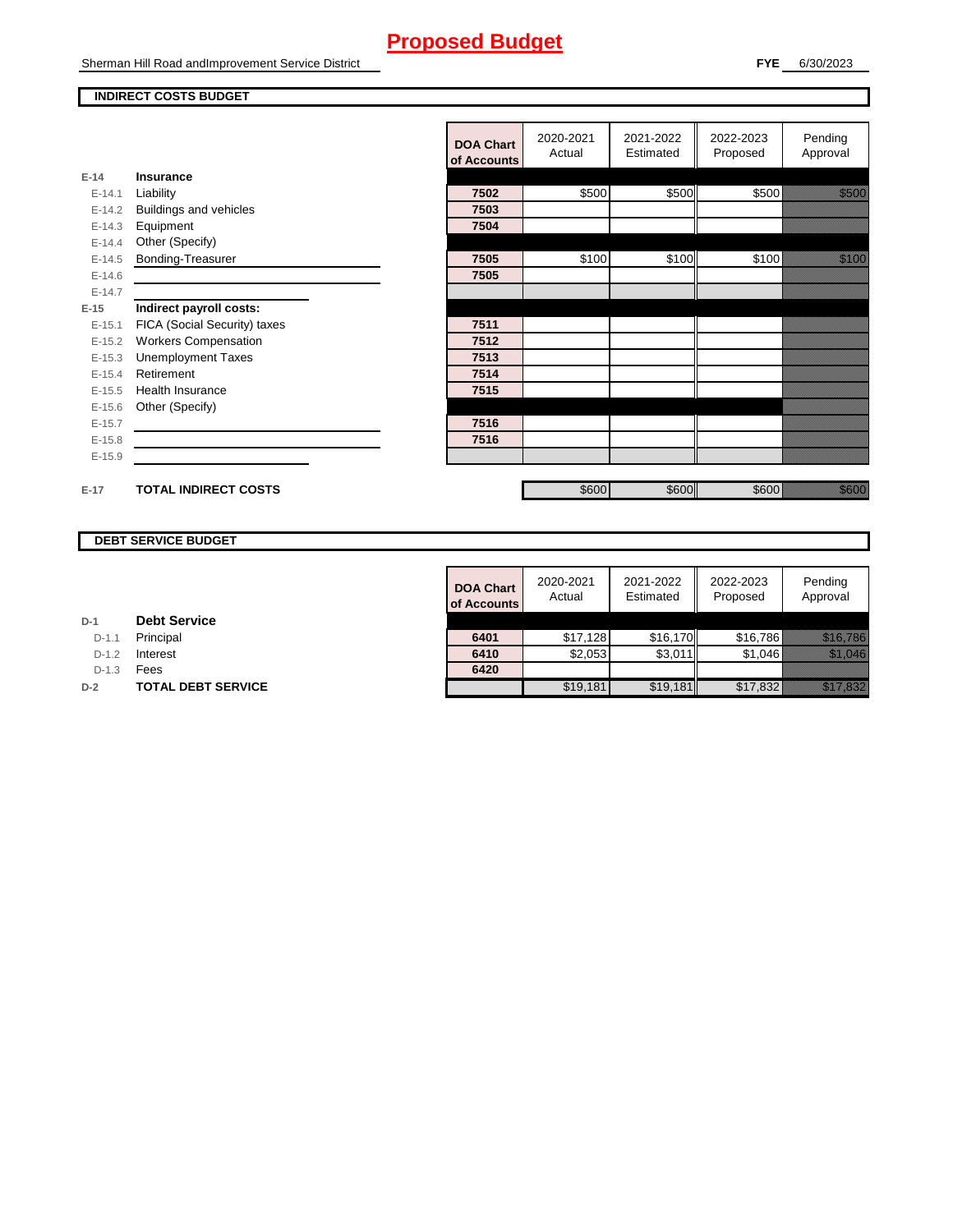Sherman Hill Road andImprovement Service District

#### **INDIRECT COSTS BUDGET**

|          |                              | <b>DOA Chart</b><br>of Accounts | 2020-2021<br>Actual | 2021-2022<br>Estimated | 2022-2023<br>Proposed | Pending<br>Approval                         |
|----------|------------------------------|---------------------------------|---------------------|------------------------|-----------------------|---------------------------------------------|
| $E-14$   | Insurance                    |                                 |                     |                        |                       |                                             |
| $E-14.1$ | Liability                    | 7502                            | \$500               | \$500                  | \$500                 | <u>tionalised</u>                           |
| $E-14.2$ | Buildings and vehicles       | 7503                            |                     |                        |                       |                                             |
| $E-14.3$ | Equipment                    | 7504                            |                     |                        |                       |                                             |
| $E-14.4$ | Other (Specify)              |                                 |                     |                        |                       |                                             |
| $E-14.5$ | Bonding-Treasurer            | 7505                            | \$100               | \$100                  | \$100                 | <u>ti ka</u>                                |
| $E-14.6$ |                              | 7505                            |                     |                        |                       |                                             |
| $E-14.7$ |                              |                                 |                     |                        |                       |                                             |
| $E-15$   | Indirect payroll costs:      |                                 |                     |                        |                       |                                             |
| $E-15.1$ | FICA (Social Security) taxes | 7511                            |                     |                        |                       |                                             |
| $E-15.2$ | <b>Workers Compensation</b>  | 7512                            |                     |                        |                       |                                             |
| $E-15.3$ | <b>Unemployment Taxes</b>    | 7513                            |                     |                        |                       |                                             |
| $E-15.4$ | Retirement                   | 7514                            |                     |                        |                       |                                             |
| $E-15.5$ | <b>Health Insurance</b>      | 7515                            |                     |                        |                       |                                             |
| $E-15.6$ | Other (Specify)              |                                 |                     |                        |                       |                                             |
| $E-15.7$ |                              | 7516                            |                     |                        |                       |                                             |
| $E-15.8$ |                              | 7516                            |                     |                        |                       |                                             |
| $E-15.9$ |                              |                                 |                     |                        |                       |                                             |
| $E-17$   | <b>TOTAL INDIRECT COSTS</b>  |                                 | \$600               | \$600                  | \$600                 | e de la filosofia<br>Altres de la filosofia |
|          |                              |                                 |                     |                        |                       |                                             |

### **DEBT SERVICE BUDGET**

|         |                           | <b>DOA Chart</b><br>of Accounts | 2020-2021<br>Actual | 2021-2022<br>Estimated | 2022-2023<br>Proposed | Pending<br>Approval             |
|---------|---------------------------|---------------------------------|---------------------|------------------------|-----------------------|---------------------------------|
|         | <b>Debt Service</b>       |                                 |                     |                        |                       |                                 |
| $D-1.1$ | Principal                 | 6401                            | \$17,128            | \$16.170               | \$16,786              | <u> Maria Maria Indonesia (</u> |
| $D-1.2$ | Interest                  | 6410                            | \$2,053             | \$3,011                | \$1.046               | <u> Hilliann C</u>              |
| $D-1.3$ | Fees                      | 6420                            |                     |                        |                       |                                 |
|         | <b>TOTAL DEBT SERVICE</b> |                                 | \$19,181            | \$19,181               | \$17,832              | <u>filman ya k</u>              |

**D-1 Debt Service**

D-1.1 **Principal** 

D-1.3 **Fees** 

**D-2 TOTAL DEBT SERVICE**